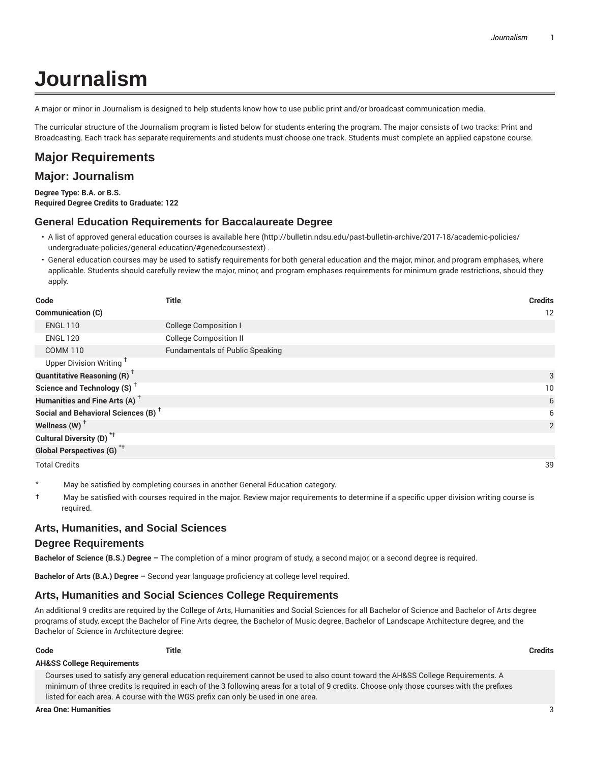# **Journalism**

A major or minor in Journalism is designed to help students know how to use public print and/or broadcast communication media.

The curricular structure of the Journalism program is listed below for students entering the program. The major consists of two tracks: Print and Broadcasting. Each track has separate requirements and students must choose one track. Students must complete an applied capstone course.

### **Major Requirements**

### **Major: Journalism**

**Degree Type: B.A. or B.S. Required Degree Credits to Graduate: 122**

#### **General Education Requirements for Baccalaureate Degree**

- A list of approved general education courses is available here (http://bulletin.ndsu.edu/past-bulletin-archive/2017-18/academic-policies/ undergraduate-policies/general-education/#genedcoursestext) .
- General education courses may be used to satisfy requirements for both general education and the major, minor, and program emphases, where applicable. Students should carefully review the major, minor, and program emphases requirements for minimum grade restrictions, should they apply.

| Code                                            | <b>Title</b>                           | <b>Credits</b> |
|-------------------------------------------------|----------------------------------------|----------------|
| Communication (C)                               |                                        | 12             |
| <b>ENGL 110</b>                                 | <b>College Composition I</b>           |                |
| <b>ENGL 120</b>                                 | <b>College Composition II</b>          |                |
| <b>COMM 110</b>                                 | <b>Fundamentals of Public Speaking</b> |                |
| Upper Division Writing <sup>T</sup>             |                                        |                |
| <b>Quantitative Reasoning (R)</b> <sup>†</sup>  |                                        | 3              |
| Science and Technology (S) <sup>+</sup>         |                                        | 10             |
| Humanities and Fine Arts (A) <sup>+</sup>       |                                        | 6              |
| Social and Behavioral Sciences (B) <sup>+</sup> |                                        | 6              |
| Wellness (W) $^{\dagger}$                       |                                        | 2              |
| Cultural Diversity (D) <sup>*†</sup>            |                                        |                |
| Global Perspectives (G) <sup>*†</sup>           |                                        |                |
| <b>Total Credits</b>                            |                                        | 39             |

- May be satisfied by completing courses in another General Education category.
- † May be satisfied with courses required in the major. Review major requirements to determine if a specific upper division writing course is required.

#### **Arts, Humanities, and Social Sciences**

#### **Degree Requirements**

**Bachelor of Science (B.S.) Degree –** The completion of a minor program of study, a second major, or a second degree is required.

**Bachelor of Arts (B.A.) Degree –** Second year language proficiency at college level required.

#### **Arts, Humanities and Social Sciences College Requirements**

An additional 9 credits are required by the College of Arts, Humanities and Social Sciences for all Bachelor of Science and Bachelor of Arts degree programs of study, except the Bachelor of Fine Arts degree, the Bachelor of Music degree, Bachelor of Landscape Architecture degree, and the Bachelor of Science in Architecture degree:

**Code Title Credits**

#### **AH&SS College Requirements**

Courses used to satisfy any general education requirement cannot be used to also count toward the AH&SS College Requirements. A minimum of three credits is required in each of the 3 following areas for a total of 9 credits. Choose only those courses with the prefixes listed for each area. A course with the WGS prefix can only be used in one area.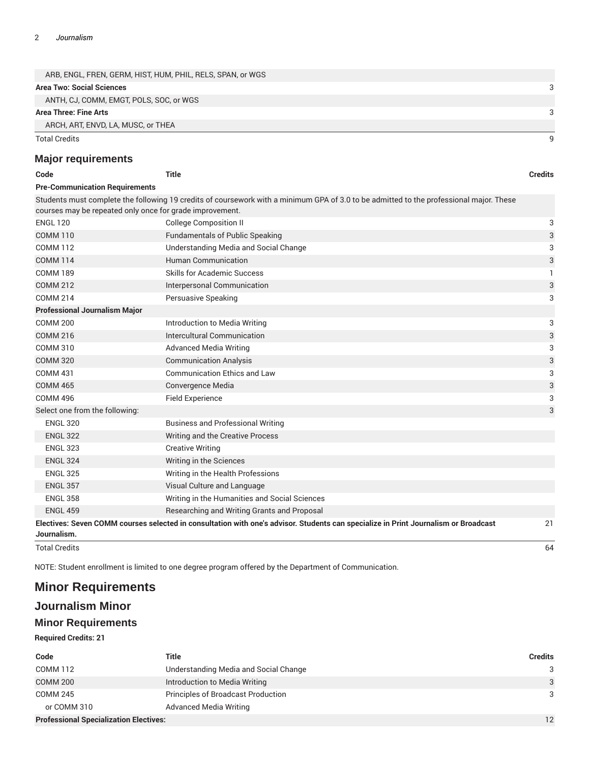| ARB, ENGL, FREN, GERM, HIST, HUM, PHIL, RELS, SPAN, or WGS |  |
|------------------------------------------------------------|--|
| Area Two: Social Sciences                                  |  |
| ANTH, CJ, COMM, EMGT, POLS, SOC, or WGS                    |  |
| Area Three: Fine Arts                                      |  |
| ARCH, ART, ENVD, LA, MUSC, or THEA                         |  |
| Total Credits                                              |  |

### **Major requirements**

| Code                                                     | <b>Title</b>                                                                                                                            | <b>Credits</b> |
|----------------------------------------------------------|-----------------------------------------------------------------------------------------------------------------------------------------|----------------|
| <b>Pre-Communication Requirements</b>                    |                                                                                                                                         |                |
|                                                          | Students must complete the following 19 credits of coursework with a minimum GPA of 3.0 to be admitted to the professional major. These |                |
| courses may be repeated only once for grade improvement. |                                                                                                                                         |                |
| <b>ENGL 120</b>                                          | <b>College Composition II</b>                                                                                                           | 3              |
| <b>COMM 110</b>                                          | <b>Fundamentals of Public Speaking</b>                                                                                                  | 3              |
| <b>COMM 112</b>                                          | Understanding Media and Social Change                                                                                                   | 3              |
| <b>COMM 114</b>                                          | Human Communication                                                                                                                     | 3              |
| <b>COMM 189</b>                                          | Skills for Academic Success                                                                                                             | 1              |
| <b>COMM 212</b>                                          | Interpersonal Communication                                                                                                             | 3              |
| <b>COMM 214</b>                                          | Persuasive Speaking                                                                                                                     | 3              |
| <b>Professional Journalism Major</b>                     |                                                                                                                                         |                |
| <b>COMM 200</b>                                          | Introduction to Media Writing                                                                                                           | 3              |
| <b>COMM 216</b>                                          | Intercultural Communication                                                                                                             | 3              |
| <b>COMM 310</b>                                          | <b>Advanced Media Writing</b>                                                                                                           | 3              |
| <b>COMM 320</b>                                          | <b>Communication Analysis</b>                                                                                                           | 3              |
| <b>COMM 431</b>                                          | <b>Communication Ethics and Law</b>                                                                                                     | 3              |
| <b>COMM 465</b>                                          | Convergence Media                                                                                                                       | 3              |
| <b>COMM 496</b>                                          | <b>Field Experience</b>                                                                                                                 | 3              |
| Select one from the following:                           |                                                                                                                                         | 3              |
| <b>ENGL 320</b>                                          | <b>Business and Professional Writing</b>                                                                                                |                |
| <b>ENGL 322</b>                                          | Writing and the Creative Process                                                                                                        |                |
| <b>ENGL 323</b>                                          | <b>Creative Writing</b>                                                                                                                 |                |
| <b>ENGL 324</b>                                          | Writing in the Sciences                                                                                                                 |                |
| <b>ENGL 325</b>                                          | Writing in the Health Professions                                                                                                       |                |
| <b>ENGL 357</b>                                          | Visual Culture and Language                                                                                                             |                |
| <b>ENGL 358</b>                                          | Writing in the Humanities and Social Sciences                                                                                           |                |
| <b>ENGL 459</b>                                          | Researching and Writing Grants and Proposal                                                                                             |                |
|                                                          | Electives: Seven COMM courses selected in consultation with one's advisor. Students can specialize in Print Journalism or Broadcast     | 21             |
| Journalism.                                              |                                                                                                                                         |                |
| <b>Total Credits</b>                                     |                                                                                                                                         | 64             |

NOTE: Student enrollment is limited to one degree program offered by the Department of Communication.

## **Minor Requirements**

### **Journalism Minor**

### **Minor Requirements**

**Required Credits: 21**

| Code                                          | Title                                 | <b>Credits</b> |
|-----------------------------------------------|---------------------------------------|----------------|
| <b>COMM 112</b>                               | Understanding Media and Social Change | 3              |
| <b>COMM 200</b>                               | Introduction to Media Writing         | 3              |
| <b>COMM 245</b>                               | Principles of Broadcast Production    | 3              |
| or COMM 310                                   | <b>Advanced Media Writing</b>         |                |
| <b>Professional Specialization Electives:</b> |                                       |                |